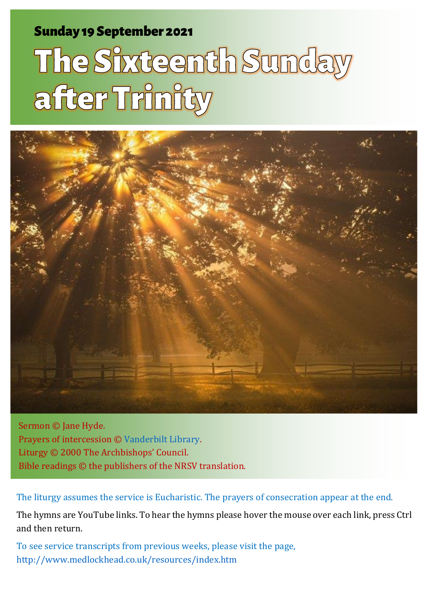#### Sunday 19 September 2021 1 The Sunday 19 September 2021 1 The Sunday after Trinity and Sunday after Trinity and

# The Sixteenth Sunday after Trinity



Sermon © Jane Hyde. Prayers of intercession © [Vanderbilt Library.](https://lectionary.library.vanderbilt.edu/prayers.php?id=229) Liturgy © 2000 The Archbishops' Council. Bible readings © the publishers of the NRSV translation.

The liturgy assumes the service is Eucharistic. The prayers of consecration appear at the end.

The hymns are YouTube links. To hear the hymns please hover the mouse over each link, press Ctrl and then return.

To see service transcripts from previous weeks, please visit the page, <http://www.medlockhead.co.uk/resources/index.htm>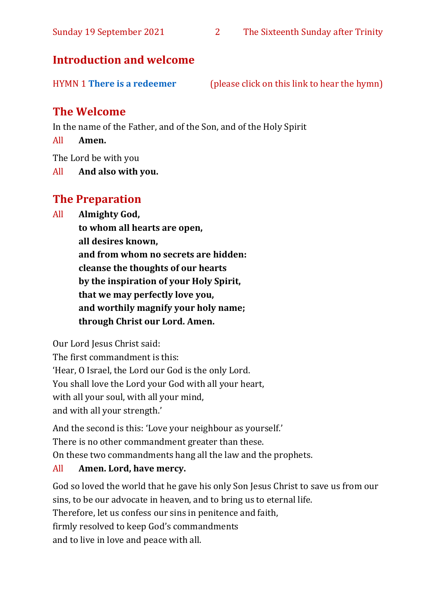#### **Introduction and welcome**

| <b>HYMN 1 There is a redeemer</b> | (please click on this link to hear the hymn) |  |
|-----------------------------------|----------------------------------------------|--|
|-----------------------------------|----------------------------------------------|--|

#### **The Welcome**

In the name of the Father, and of the Son, and of the Holy Spirit

All **Amen.**

The Lord be with you

All **And also with you.**

#### **The Preparation**

All **Almighty God,**

**to whom all hearts are open, all desires known, and from whom no secrets are hidden: cleanse the thoughts of our hearts by the inspiration of your Holy Spirit, that we may perfectly love you, and worthily magnify your holy name; through Christ our Lord. Amen.**

Our Lord Jesus Christ said:

The first commandment is this: 'Hear, O Israel, the Lord our God is the only Lord. You shall love the Lord your God with all your heart, with all your soul, with all your mind, and with all your strength.'

And the second is this: 'Love your neighbour as yourself.' There is no other commandment greater than these. On these two commandments hang all the law and the prophets.

#### All **Amen. Lord, have mercy.**

God so loved the world that he gave his only Son Jesus Christ to save us from our sins, to be our advocate in heaven, and to bring us to eternal life. Therefore, let us confess our sins in penitence and faith, firmly resolved to keep God's commandments and to live in love and peace with all.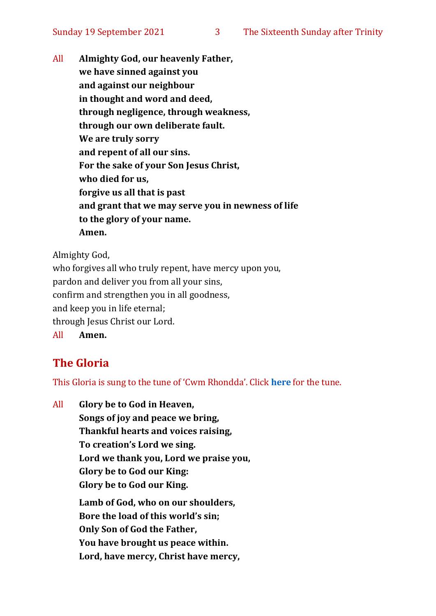All **Almighty God, our heavenly Father, we have sinned against you and against our neighbour in thought and word and deed, through negligence, through weakness, through our own deliberate fault. We are truly sorry and repent of all our sins. For the sake of your Son Jesus Christ, who died for us, forgive us all that is past and grant that we may serve you in newness of life to the glory of your name. Amen.**

Almighty God,

who forgives all who truly repent, have mercy upon you, pardon and deliver you from all your sins, confirm and strengthen you in all goodness, and keep you in life eternal; through Jesus Christ our Lord. All **Amen.**

#### **The Gloria**

This Gloria is sung to the tune of 'Cwm Rhondda'. Click **[here](about:blank)** for the tune.

All **Glory be to God in Heaven, Songs of joy and peace we bring, Thankful hearts and voices raising, To creation's Lord we sing. Lord we thank you, Lord we praise you, Glory be to God our King: Glory be to God our King. Lamb of God, who on our shoulders, Bore the load of this world's sin; Only Son of God the Father, You have brought us peace within. Lord, have mercy, Christ have mercy,**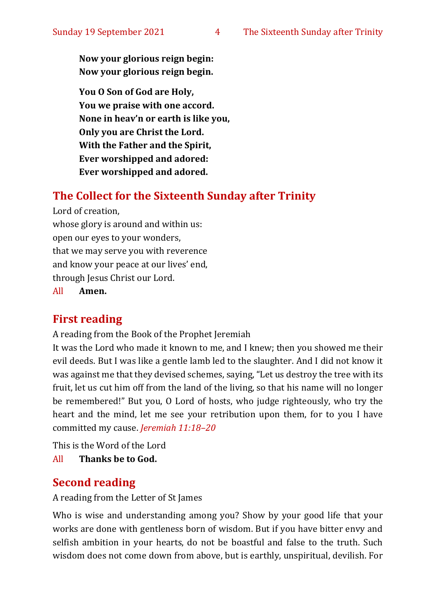**Now your glorious reign begin: Now your glorious reign begin.**

**You O Son of God are Holy, You we praise with one accord. None in heav'n or earth is like you, Only you are Christ the Lord. With the Father and the Spirit, Ever worshipped and adored: Ever worshipped and adored.**

#### **The Collect for the Sixteenth Sunday after Trinity**

Lord of creation,

whose glory is around and within us: open our eyes to your wonders, that we may serve you with reverence and know your peace at our lives' end, through Jesus Christ our Lord.

All **Amen.**

#### **First reading**

A reading from the Book of the Prophet Jeremiah

It was the Lord who made it known to me, and I knew; then you showed me their evil deeds. But I was like a gentle lamb led to the slaughter. And I did not know it was against me that they devised schemes, saying, "Let us destroy the tree with its fruit, let us cut him off from the land of the living, so that his name will no longer be remembered!" But you, O Lord of hosts, who judge righteously, who try the heart and the mind, let me see your retribution upon them, for to you I have committed my cause. *Jeremiah 11:18–20*

This is the Word of the Lord

All **Thanks be to God.**

#### **Second reading**

A reading from the Letter of St James

Who is wise and understanding among you? Show by your good life that your works are done with gentleness born of wisdom. But if you have bitter envy and selfish ambition in your hearts, do not be boastful and false to the truth. Such wisdom does not come down from above, but is earthly, unspiritual, devilish. For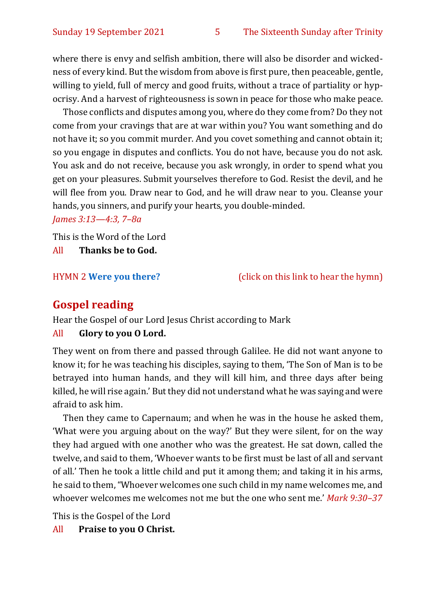where there is envy and selfish ambition, there will also be disorder and wickedness of every kind. But the wisdom from above is first pure, then peaceable, gentle, willing to yield, full of mercy and good fruits, without a trace of partiality or hypocrisy. And a harvest of righteousness is sown in peace for those who make peace.

Those conflicts and disputes among you, where do they come from? Do they not come from your cravings that are at war within you? You want something and do not have it; so you commit murder. And you covet something and cannot obtain it; so you engage in disputes and conflicts. You do not have, because you do not ask. You ask and do not receive, because you ask wrongly, in order to spend what you get on your pleasures. Submit yourselves therefore to God. Resist the devil, and he will flee from you. Draw near to God, and he will draw near to you. Cleanse your hands, you sinners, and purify your hearts, you double-minded.

*James 3:13—4:3, 7–8a*

This is the Word of the Lord All **Thanks be to God.**

HYMN 2 **[Were you there?](https://www.youtube.com/watch?v=K5qUnKC9rPU)** (click on this link to hear the hymn)

#### **Gospel reading**

Hear the Gospel of our Lord Jesus Christ according to Mark

#### All **Glory to you O Lord.**

They went on from there and passed through Galilee. He did not want anyone to know it; for he was teaching his disciples, saying to them, 'The Son of Man is to be betrayed into human hands, and they will kill him, and three days after being killed, he will rise again.' But they did not understand what he was saying and were afraid to ask him.

Then they came to Capernaum; and when he was in the house he asked them, 'What were you arguing about on the way?' But they were silent, for on the way they had argued with one another who was the greatest. He sat down, called the twelve, and said to them, 'Whoever wants to be first must be last of all and servant of all.' Then he took a little child and put it among them; and taking it in his arms, he said to them, "Whoever welcomes one such child in my name welcomes me, and whoever welcomes me welcomes not me but the one who sent me.' *Mark 9:30–37*

This is the Gospel of the Lord

All **Praise to you O Christ.**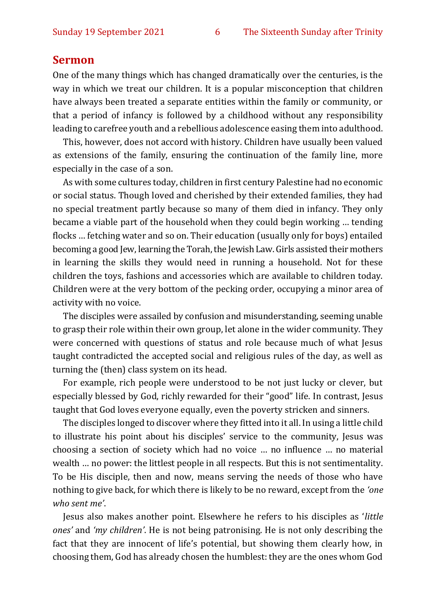#### **Sermon**

One of the many things which has changed dramatically over the centuries, is the way in which we treat our children. It is a popular misconception that children have always been treated a separate entities within the family or community, or that a period of infancy is followed by a childhood without any responsibility leading to carefree youth and a rebellious adolescence easing them into adulthood.

This, however, does not accord with history. Children have usually been valued as extensions of the family, ensuring the continuation of the family line, more especially in the case of a son.

As with some cultures today, children in first century Palestine had no economic or social status. Though loved and cherished by their extended families, they had no special treatment partly because so many of them died in infancy. They only became a viable part of the household when they could begin working … tending flocks … fetching water and so on. Their education (usually only for boys) entailed becoming a good Jew, learning the Torah, the Jewish Law. Girls assisted their mothers in learning the skills they would need in running a household. Not for these children the toys, fashions and accessories which are available to children today. Children were at the very bottom of the pecking order, occupying a minor area of activity with no voice.

The disciples were assailed by confusion and misunderstanding, seeming unable to grasp their role within their own group, let alone in the wider community. They were concerned with questions of status and role because much of what Jesus taught contradicted the accepted social and religious rules of the day, as well as turning the (then) class system on its head.

For example, rich people were understood to be not just lucky or clever, but especially blessed by God, richly rewarded for their "good" life. In contrast, Jesus taught that God loves everyone equally, even the poverty stricken and sinners.

The disciples longed to discover where they fitted into it all. In using a little child to illustrate his point about his disciples' service to the community, Jesus was choosing a section of society which had no voice … no influence … no material wealth … no power: the littlest people in all respects. But this is not sentimentality. To be His disciple, then and now, means serving the needs of those who have nothing to give back, for which there is likely to be no reward, except from the *'one who sent me'*.

Jesus also makes another point. Elsewhere he refers to his disciples as '*little ones'* and *'my children'*. He is not being patronising. He is not only describing the fact that they are innocent of life's potential, but showing them clearly how, in choosing them, God has already chosen the humblest: they are the ones whom God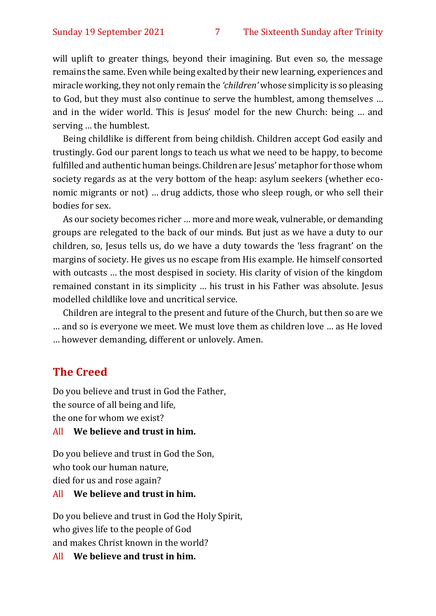will uplift to greater things, beyond their imagining. But even so, the message remains the same. Even while being exalted by their new learning, experiences and miracle working, they not only remain the *'children'* whose simplicity is so pleasing to God, but they must also continue to serve the humblest, among themselves … and in the wider world. This is Jesus' model for the new Church: being … and serving … the humblest.

Being childlike is different from being childish. Children accept God easily and trustingly. God our parent longs to teach us what we need to be happy, to become fulfilled and authentic human beings. Children are Jesus' metaphor for those whom society regards as at the very bottom of the heap: asylum seekers (whether economic migrants or not) … drug addicts, those who sleep rough, or who sell their bodies for sex.

As our society becomes richer … more and more weak, vulnerable, or demanding groups are relegated to the back of our minds. But just as we have a duty to our children, so, Jesus tells us, do we have a duty towards the 'less fragrant' on the margins of society. He gives us no escape from His example. He himself consorted with outcasts … the most despised in society. His clarity of vision of the kingdom remained constant in its simplicity … his trust in his Father was absolute. Jesus modelled childlike love and uncritical service.

Children are integral to the present and future of the Church, but then so are we … and so is everyone we meet. We must love them as children love … as He loved … however demanding, different or unlovely. Amen.

#### **The Creed**

Do you believe and trust in God the Father, the source of all being and life, the one for whom we exist?

#### All **We believe and trust in him.**

Do you believe and trust in God the Son, who took our human nature, died for us and rose again?

#### All **We believe and trust in him.**

Do you believe and trust in God the Holy Spirit, who gives life to the people of God and makes Christ known in the world?

All **We believe and trust in him.**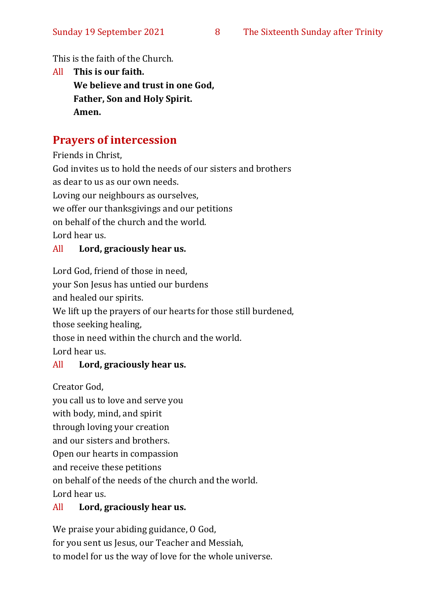This is the faith of the Church.

All **This is our faith. We believe and trust in one God, Father, Son and Holy Spirit. Amen.**

#### **Prayers of intercession**

Friends in Christ,

God invites us to hold the needs of our sisters and brothers as dear to us as our own needs. Loving our neighbours as ourselves, we offer our thanksgivings and our petitions on behalf of the church and the world. Lord hear us.

#### All **Lord, graciously hear us.**

Lord God, friend of those in need,

your Son Jesus has untied our burdens

and healed our spirits.

We lift up the prayers of our hearts for those still burdened,

those seeking healing,

those in need within the church and the world.

Lord hear us.

#### All **Lord, graciously hear us.**

Creator God,

you call us to love and serve you with body, mind, and spirit through loving your creation and our sisters and brothers. Open our hearts in compassion and receive these petitions on behalf of the needs of the church and the world. Lord hear us.

#### All **Lord, graciously hear us.**

We praise your abiding guidance, O God, for you sent us Jesus, our Teacher and Messiah, to model for us the way of love for the whole universe.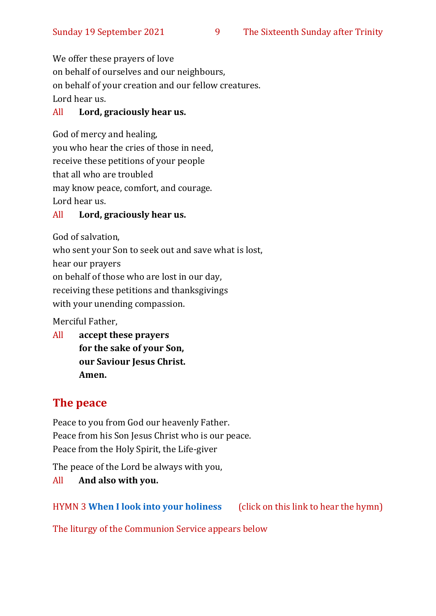We offer these prayers of love on behalf of ourselves and our neighbours, on behalf of your creation and our fellow creatures. Lord hear us.

#### All **Lord, graciously hear us.**

God of mercy and healing, you who hear the cries of those in need, receive these petitions of your people that all who are troubled may know peace, comfort, and courage. Lord hear us.

#### All **Lord, graciously hear us.**

God of salvation,

who sent your Son to seek out and save what is lost,

hear our prayers

on behalf of those who are lost in our day,

receiving these petitions and thanksgivings

with your unending compassion.

Merciful Father,

All **accept these prayers for the sake of your Son, our Saviour Jesus Christ. Amen.**

#### **The peace**

Peace to you from God our heavenly Father. Peace from his Son Jesus Christ who is our peace. Peace from the Holy Spirit, the Life-giver

The peace of the Lord be always with you,

All **And also with you.**

HYMN 3 **[When I look into your holiness](https://www.youtube.com/watch?v=_ZT2p_Sxj0U)** (click on this link to hear the hymn)

The liturgy of the Communion Service appears below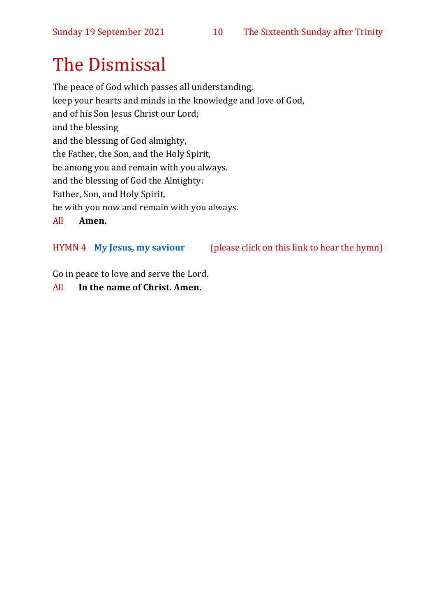# The Dismissal

The peace of God which passes all understanding, keep your hearts and minds in the knowledge and love of God, and of his Son Jesus Christ our Lord; and the blessing and the blessing of God almighty, the Father, the Son, and the Holy Spirit, be among you and remain with you always. and the blessing of God the Almighty: Father, Son, and Holy Spirit, be with you now and remain with you always. All **Amen.**

#### HYMN 4 **[My Jesus, my saviour](https://www.youtube.com/watch?v=mqSQvoinDE4)** (please click on this link to hear the hymn)

Go in peace to love and serve the Lord.

#### All **In the name of Christ. Amen.**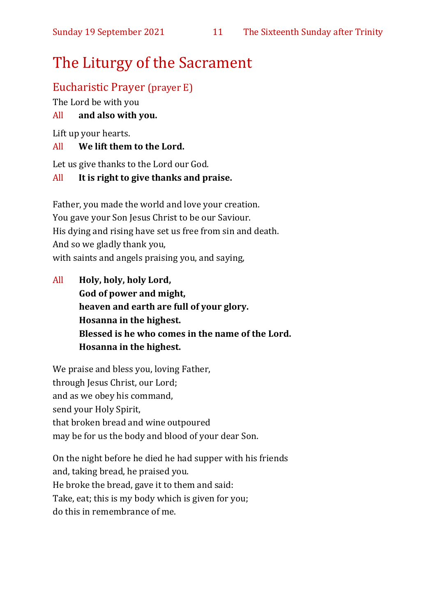## The Liturgy of the Sacrament

#### Eucharistic Prayer (prayer E)

The Lord be with you

#### All **and also with you.**

Lift up your hearts.

#### All **We lift them to the Lord.**

Let us give thanks to the Lord our God.

#### All **It is right to give thanks and praise.**

Father, you made the world and love your creation. You gave your Son Jesus Christ to be our Saviour. His dying and rising have set us free from sin and death. And so we gladly thank you, with saints and angels praising you, and saying,

All **Holy, holy, holy Lord, God of power and might, heaven and earth are full of your glory. Hosanna in the highest. Blessed is he who comes in the name of the Lord. Hosanna in the highest.**

We praise and bless you, loving Father, through Jesus Christ, our Lord; and as we obey his command, send your Holy Spirit, that broken bread and wine outpoured may be for us the body and blood of your dear Son.

On the night before he died he had supper with his friends and, taking bread, he praised you. He broke the bread, gave it to them and said: Take, eat; this is my body which is given for you; do this in remembrance of me.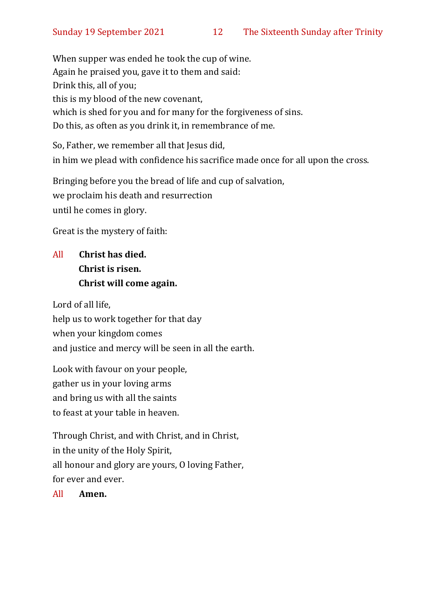When supper was ended he took the cup of wine. Again he praised you, gave it to them and said: Drink this, all of you; this is my blood of the new covenant, which is shed for you and for many for the forgiveness of sins. Do this, as often as you drink it, in remembrance of me.

So, Father, we remember all that Jesus did, in him we plead with confidence his sacrifice made once for all upon the cross.

Bringing before you the bread of life and cup of salvation, we proclaim his death and resurrection until he comes in glory.

Great is the mystery of faith:

#### All **Christ has died. Christ is risen. Christ will come again.**

Lord of all life, help us to work together for that day when your kingdom comes and justice and mercy will be seen in all the earth.

Look with favour on your people, gather us in your loving arms and bring us with all the saints to feast at your table in heaven.

Through Christ, and with Christ, and in Christ, in the unity of the Holy Spirit, all honour and glory are yours, O loving Father, for ever and ever.

All **Amen.**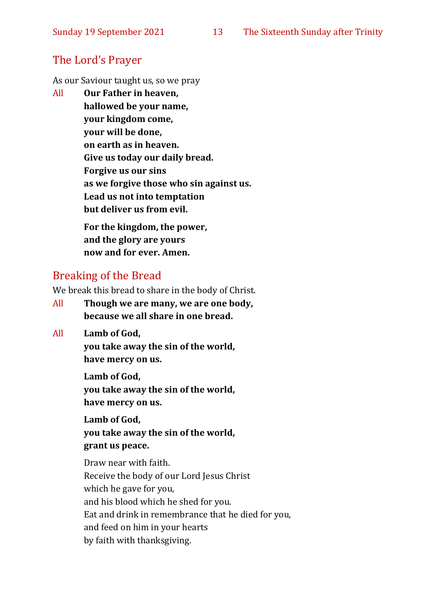### The Lord's Prayer

As our Saviour taught us, so we pray

All **Our Father in heaven, hallowed be your name, your kingdom come, your will be done, on earth as in heaven. Give us today our daily bread. Forgive us our sins as we forgive those who sin against us. Lead us not into temptation but deliver us from evil. For the kingdom, the power,** 

**and the glory are yours now and for ever. Amen.**

### Breaking of the Bread

We break this bread to share in the body of Christ.

- All **Though we are many, we are one body, because we all share in one bread.**
- All **Lamb of God,**

**you take away the sin of the world, have mercy on us.**

**Lamb of God, you take away the sin of the world, have mercy on us.**

**Lamb of God, you take away the sin of the world, grant us peace.**

Draw near with faith. Receive the body of our Lord Jesus Christ which he gave for you, and his blood which he shed for you. Eat and drink in remembrance that he died for you, and feed on him in your hearts by faith with thanksgiving.